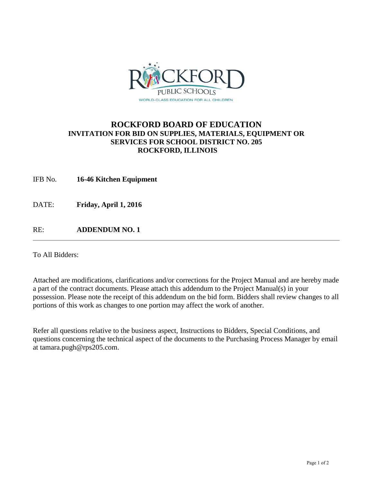

### **ROCKFORD BOARD OF EDUCATION INVITATION FOR BID ON SUPPLIES, MATERIALS, EQUIPMENT OR SERVICES FOR SCHOOL DISTRICT NO. 205 ROCKFORD, ILLINOIS**

IFB No. **16-46 Kitchen Equipment**

DATE: **Friday, April 1, 2016** 

RE: **ADDENDUM NO. 1**

To All Bidders:

Attached are modifications, clarifications and/or corrections for the Project Manual and are hereby made a part of the contract documents. Please attach this addendum to the Project Manual(s) in your possession. Please note the receipt of this addendum on the bid form. Bidders shall review changes to all portions of this work as changes to one portion may affect the work of another.

Refer all questions relative to the business aspect, Instructions to Bidders, Special Conditions, and questions concerning the technical aspect of the documents to the Purchasing Process Manager by email at tamara.pugh@rps205.com.